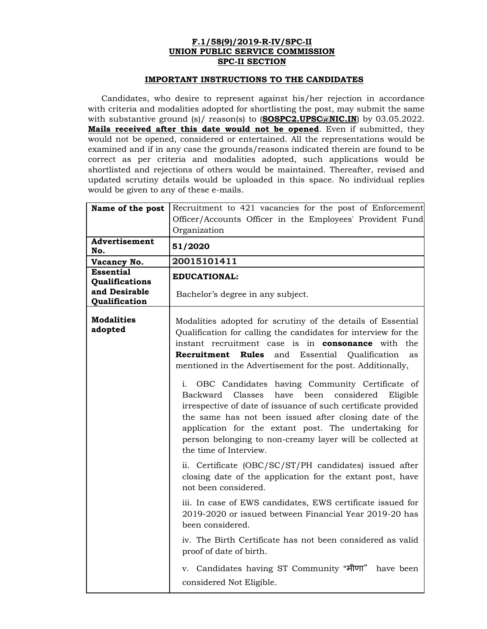## **F.1/58(9)/2019-R-IV/SPC-II UNION PUBLIC SERVICE COMMISSION SPC-II SECTION**

## **IMPORTANT INSTRUCTIONS TO THE CANDIDATES**

Candidates, who desire to represent against his/her rejection in accordance with criteria and modalities adopted for shortlisting the post, may submit the same with substantive ground (s)/ reason(s) to (**SOSPC2.UPSC@NIC.IN**) by 03.05.2022. **Mails received after this date would not be opened**. Even if submitted, they would not be opened, considered or entertained. All the representations would be examined and if in any case the grounds/reasons indicated therein are found to be correct as per criteria and modalities adopted, such applications would be shortlisted and rejections of others would be maintained. Thereafter, revised and updated scrutiny details would be uploaded in this space. No individual replies would be given to any of these e-mails.

| Name of the post                          | Recruitment to 421 vacancies for the post of Enforcement<br>Officer/Accounts Officer in the Employees' Provident Fund<br>Organization                                                                                                                                                                                                                                                     |
|-------------------------------------------|-------------------------------------------------------------------------------------------------------------------------------------------------------------------------------------------------------------------------------------------------------------------------------------------------------------------------------------------------------------------------------------------|
| Advertisement<br>No.                      | 51/2020                                                                                                                                                                                                                                                                                                                                                                                   |
| Vacancy No.                               | 20015101411                                                                                                                                                                                                                                                                                                                                                                               |
| <b>Essential</b><br><b>Qualifications</b> | <b>EDUCATIONAL:</b>                                                                                                                                                                                                                                                                                                                                                                       |
| and Desirable<br>Qualification            | Bachelor's degree in any subject.                                                                                                                                                                                                                                                                                                                                                         |
| <b>Modalities</b><br>adopted              | Modalities adopted for scrutiny of the details of Essential<br>Qualification for calling the candidates for interview for the<br>instant recruitment case is in <b>consonance</b> with the<br>Recruitment<br><b>Rules</b><br>Essential Qualification<br>and<br>as<br>mentioned in the Advertisement for the post. Additionally,                                                           |
|                                           | OBC Candidates having Community Certificate of<br>i.<br>Backward Classes<br>have been<br>considered<br>Eligible<br>irrespective of date of issuance of such certificate provided<br>the same has not been issued after closing date of the<br>application for the extant post. The undertaking for<br>person belonging to non-creamy layer will be collected at<br>the time of Interview. |
|                                           | ii. Certificate (OBC/SC/ST/PH candidates) issued after<br>closing date of the application for the extant post, have<br>not been considered.                                                                                                                                                                                                                                               |
|                                           | iii. In case of EWS candidates, EWS certificate issued for<br>2019-2020 or issued between Financial Year 2019-20 has<br>been considered.                                                                                                                                                                                                                                                  |
|                                           | iv. The Birth Certificate has not been considered as valid<br>proof of date of birth.                                                                                                                                                                                                                                                                                                     |
|                                           | v. Candidates having ST Community "मीणा" have been<br>considered Not Eligible.                                                                                                                                                                                                                                                                                                            |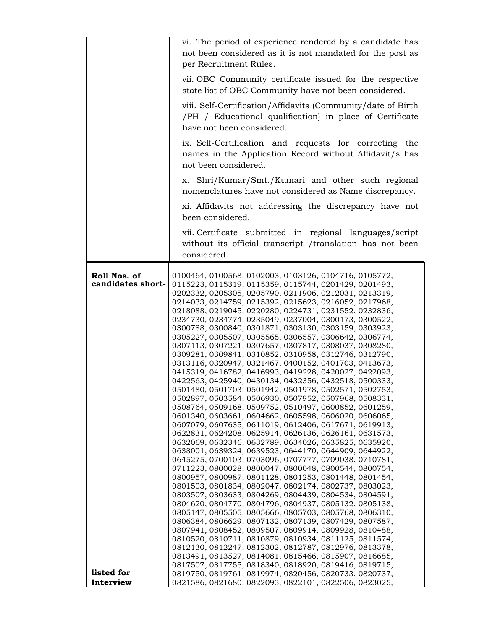|                                                 | vi. The period of experience rendered by a candidate has<br>not been considered as it is not mandated for the post as<br>per Recruitment Rules.                                                                                                                                                                                                                                                                                                                                                                                                                                                                                                                                                                                                                                                                                                                                                                                                                                                                                                                                                                                                                                                                                                                                                                                                                                                                                                                                                                                                                                                                                                                                                                                                                                                                                                                                                                                                                                                                                                                         |
|-------------------------------------------------|-------------------------------------------------------------------------------------------------------------------------------------------------------------------------------------------------------------------------------------------------------------------------------------------------------------------------------------------------------------------------------------------------------------------------------------------------------------------------------------------------------------------------------------------------------------------------------------------------------------------------------------------------------------------------------------------------------------------------------------------------------------------------------------------------------------------------------------------------------------------------------------------------------------------------------------------------------------------------------------------------------------------------------------------------------------------------------------------------------------------------------------------------------------------------------------------------------------------------------------------------------------------------------------------------------------------------------------------------------------------------------------------------------------------------------------------------------------------------------------------------------------------------------------------------------------------------------------------------------------------------------------------------------------------------------------------------------------------------------------------------------------------------------------------------------------------------------------------------------------------------------------------------------------------------------------------------------------------------------------------------------------------------------------------------------------------------|
|                                                 | vii. OBC Community certificate issued for the respective<br>state list of OBC Community have not been considered.                                                                                                                                                                                                                                                                                                                                                                                                                                                                                                                                                                                                                                                                                                                                                                                                                                                                                                                                                                                                                                                                                                                                                                                                                                                                                                                                                                                                                                                                                                                                                                                                                                                                                                                                                                                                                                                                                                                                                       |
|                                                 | viii. Self-Certification/Affidavits (Community/date of Birth<br>/PH / Educational qualification) in place of Certificate<br>have not been considered.                                                                                                                                                                                                                                                                                                                                                                                                                                                                                                                                                                                                                                                                                                                                                                                                                                                                                                                                                                                                                                                                                                                                                                                                                                                                                                                                                                                                                                                                                                                                                                                                                                                                                                                                                                                                                                                                                                                   |
|                                                 | ix. Self-Certification and requests for correcting the<br>names in the Application Record without Affidavit/s has<br>not been considered.                                                                                                                                                                                                                                                                                                                                                                                                                                                                                                                                                                                                                                                                                                                                                                                                                                                                                                                                                                                                                                                                                                                                                                                                                                                                                                                                                                                                                                                                                                                                                                                                                                                                                                                                                                                                                                                                                                                               |
|                                                 | x. Shri/Kumar/Smt./Kumari and other such regional<br>nomenclatures have not considered as Name discrepancy.                                                                                                                                                                                                                                                                                                                                                                                                                                                                                                                                                                                                                                                                                                                                                                                                                                                                                                                                                                                                                                                                                                                                                                                                                                                                                                                                                                                                                                                                                                                                                                                                                                                                                                                                                                                                                                                                                                                                                             |
|                                                 | xi. Affidavits not addressing the discrepancy have not<br>been considered.                                                                                                                                                                                                                                                                                                                                                                                                                                                                                                                                                                                                                                                                                                                                                                                                                                                                                                                                                                                                                                                                                                                                                                                                                                                                                                                                                                                                                                                                                                                                                                                                                                                                                                                                                                                                                                                                                                                                                                                              |
|                                                 | xii. Certificate submitted in regional languages/script<br>without its official transcript /translation has not been<br>considered.                                                                                                                                                                                                                                                                                                                                                                                                                                                                                                                                                                                                                                                                                                                                                                                                                                                                                                                                                                                                                                                                                                                                                                                                                                                                                                                                                                                                                                                                                                                                                                                                                                                                                                                                                                                                                                                                                                                                     |
| Roll Nos. of<br>candidates short-<br>listed for | 0100464, 0100568, 0102003, 0103126, 0104716, 0105772,<br>0115223, 0115319, 0115359, 0115744, 0201429, 0201493,<br>0202332, 0205305, 0205790, 0211906, 0212031, 0213319,<br>0214033, 0214759, 0215392, 0215623, 0216052, 0217968,<br>0218088, 0219045, 0220280, 0224731, 0231552, 0232836,<br>0234730, 0234774, 0235049, 0237004, 0300173, 0300522,<br>0300788, 0300840, 0301871, 0303130, 0303159, 0303923,<br>0305227, 0305507, 0305565, 0306557, 0306642, 0306774,<br>0307113, 0307221, 0307657, 0307817, 0308037, 0308280,<br>0309281, 0309841, 0310852, 0310958, 0312746, 0312790,<br>0313116, 0320947, 0321467, 0400152, 0401703, 0413673,<br>0415319, 0416782, 0416993, 0419228, 0420027, 0422093,<br>0422563, 0425940, 0430134, 0432356, 0432518, 0500333,<br>0501480, 0501703, 0501942, 0501978, 0502571, 0502753,<br>0502897, 0503584, 0506930, 0507952, 0507968, 0508331,<br>0508764, 0509168, 0509752, 0510497, 0600852, 0601259,<br>0601340, 0603661, 0604662, 0605598, 0606020, 0606065,<br>0607079, 0607635, 0611019, 0612406, 0617671, 0619913,<br>0622831, 0624208, 0625914, 0626136, 0626161, 0631573,<br>0632069, 0632346, 0632789, 0634026, 0635825, 0635920,<br>0638001, 0639324, 0639523, 0644170, 0644909, 0644922,<br>0645275, 0700103, 0703096, 0707777, 0709038, 0710781,<br>0711223, 0800028, 0800047, 0800048, 0800544, 0800754,<br>0800957, 0800987, 0801128, 0801253, 0801448, 0801454,<br>0801503, 0801834, 0802047, 0802174, 0802737, 0803023,<br>0803507, 0803633, 0804269, 0804439, 0804534, 0804591,<br>0804620, 0804770, 0804796, 0804937, 0805132, 0805138,<br>0805147, 0805505, 0805666, 0805703, 0805768, 0806310,<br>0806384, 0806629, 0807132, 0807139, 0807429, 0807587,<br>0807941, 0808452, 0809507, 0809914, 0809928, 0810488,<br>0810520, 0810711, 0810879, 0810934, 0811125, 0811574,<br>0812130, 0812247, 0812302, 0812787, 0812976, 0813378,<br>0813491, 0813527, 0814081, 0815466, 0815907, 0816685,<br>0817507, 0817755, 0818340, 0818920, 0819416, 0819715,<br>0819750, 0819761, 0819974, 0820456, 0820733, 0820737, |
| Interview                                       | 0821586, 0821680, 0822093, 0822101, 0822506, 0823025,                                                                                                                                                                                                                                                                                                                                                                                                                                                                                                                                                                                                                                                                                                                                                                                                                                                                                                                                                                                                                                                                                                                                                                                                                                                                                                                                                                                                                                                                                                                                                                                                                                                                                                                                                                                                                                                                                                                                                                                                                   |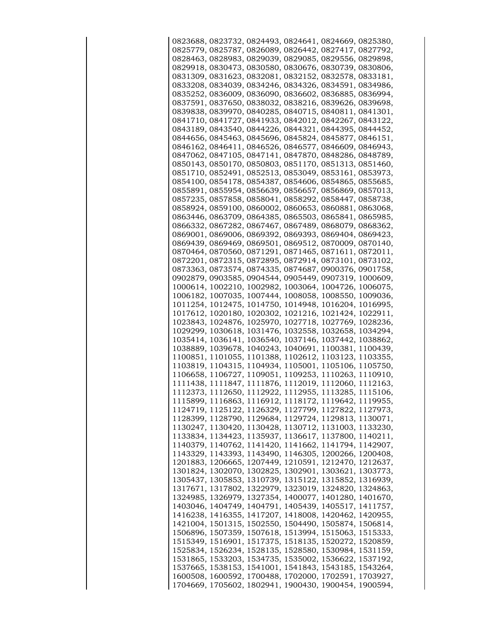|  |  | 0823688, 0823732, 0824493, 0824641, 0824669, 0825380, |  |
|--|--|-------------------------------------------------------|--|
|  |  | 0825779, 0825787, 0826089, 0826442, 0827417, 0827792, |  |
|  |  | 0828463, 0828983, 0829039, 0829085, 0829556, 0829898, |  |
|  |  | 0829918, 0830473, 0830580, 0830676, 0830739, 0830806, |  |
|  |  | 0831309, 0831623, 0832081, 0832152, 0832578, 0833181, |  |
|  |  | 0833208, 0834039, 0834246, 0834326, 0834591, 0834986, |  |
|  |  | 0835252, 0836009, 0836090, 0836602, 0836885, 0836994, |  |
|  |  | 0837591, 0837650, 0838032, 0838216, 0839626, 0839698, |  |
|  |  | 0839838, 0839970, 0840285, 0840715, 0840811, 0841301, |  |
|  |  |                                                       |  |
|  |  | 0841710, 0841727, 0841933, 0842012, 0842267, 0843122, |  |
|  |  | 0843189, 0843540, 0844226, 0844321, 0844395, 0844452, |  |
|  |  | 0844656, 0845463, 0845696, 0845824, 0845877, 0846151, |  |
|  |  | 0846162, 0846411, 0846526, 0846577, 0846609, 0846943, |  |
|  |  | 0847062, 0847105, 0847141, 0847870, 0848286, 0848789, |  |
|  |  | 0850143, 0850170, 0850803, 0851170, 0851313, 0851460, |  |
|  |  | 0851710, 0852491, 0852513, 0853049, 0853161, 0853973, |  |
|  |  | 0854100, 0854178, 0854387, 0854606, 0854865, 0855685, |  |
|  |  | 0855891, 0855954, 0856639, 0856657, 0856869, 0857013, |  |
|  |  | 0857235, 0857858, 0858041, 0858292, 0858447, 0858738, |  |
|  |  | 0858924, 0859100, 0860002, 0860653, 0860881, 0863068, |  |
|  |  | 0863446, 0863709, 0864385, 0865503, 0865841, 0865985, |  |
|  |  | 0866332, 0867282, 0867467, 0867489, 0868079, 0868362, |  |
|  |  | 0869001, 0869006, 0869392, 0869393, 0869404, 0869423, |  |
|  |  | 0869439, 0869469, 0869501, 0869512, 0870009, 0870140, |  |
|  |  | 0870464, 0870560, 0871291, 0871465, 0871611, 0872011, |  |
|  |  | 0872201, 0872315, 0872895, 0872914, 0873101, 0873102, |  |
|  |  | 0873363, 0873574, 0874335, 0874687, 0900376, 0901758, |  |
|  |  | 0902879, 0903585, 0904544, 0905449, 0907319, 1000609, |  |
|  |  | 1000614, 1002210, 1002982, 1003064, 1004726, 1006075, |  |
|  |  | 1006182, 1007035, 1007444, 1008058, 1008550, 1009036, |  |
|  |  | 1011254, 1012475, 1014750, 1014948, 1016204, 1016995, |  |
|  |  | 1017612, 1020180, 1020302, 1021216, 1021424, 1022911, |  |
|  |  |                                                       |  |
|  |  | 1023843, 1024876, 1025970, 1027718, 1027769, 1028236, |  |
|  |  | 1029299, 1030618, 1031476, 1032558, 1032658, 1034294, |  |
|  |  | 1035414, 1036141, 1036540, 1037146, 1037442, 1038862, |  |
|  |  | 1038889, 1039678, 1040243, 1040691, 1100381, 1100439, |  |
|  |  | 1100851, 1101055, 1101388, 1102612, 1103123, 1103355, |  |
|  |  | 1103819, 1104315, 1104934, 1105001, 1105106, 1105750, |  |
|  |  | 1106658, 1106727, 1109051, 1109253, 1110263, 1110910, |  |
|  |  | 1111438, 1111847, 1111876, 1112019, 1112060, 1112163, |  |
|  |  | 1112373, 1112650, 1112922, 1112955, 1113285, 1115106, |  |
|  |  | 1115899, 1116863, 1116912, 1118172, 1119642, 1119955, |  |
|  |  | 1124719, 1125122, 1126329, 1127799, 1127822, 1127973, |  |
|  |  | 1128399, 1128790, 1129684, 1129724, 1129813, 1130071, |  |
|  |  | 1130247, 1130420, 1130428, 1130712, 1131003, 1133230, |  |
|  |  | 1133834, 1134423, 1135937, 1136617, 1137800, 1140211, |  |
|  |  | 1140379, 1140762, 1141420, 1141662, 1141794, 1142907, |  |
|  |  | 1143329, 1143393, 1143490, 1146305, 1200266, 1200408, |  |
|  |  | 1201883, 1206665, 1207449, 1210591, 1212470, 1212637, |  |
|  |  | 1301824, 1302070, 1302825, 1302901, 1303621, 1303773, |  |
|  |  | 1305437, 1305853, 1310739, 1315122, 1315852, 1316939, |  |
|  |  | 1317671, 1317802, 1322979, 1323019, 1324820, 1324863, |  |
|  |  | 1324985, 1326979, 1327354, 1400077, 1401280, 1401670, |  |
|  |  | 1403046, 1404749, 1404791, 1405439, 1405517, 1411757, |  |
|  |  | 1416238, 1416355, 1417207, 1418008, 1420462, 1420955, |  |
|  |  | 1421004, 1501315, 1502550, 1504490, 1505874, 1506814, |  |
|  |  | 1506896, 1507359, 1507618, 1513994, 1515063, 1515333, |  |
|  |  | 1515349, 1516901, 1517375, 1518135, 1520272, 1520859, |  |
|  |  | 1525834, 1526234, 1528135, 1528580, 1530984, 1531159, |  |
|  |  | 1531865, 1533203, 1534735, 1535002, 1536622, 1537192, |  |
|  |  | 1537665, 1538153, 1541001, 1541843, 1543185, 1543264, |  |
|  |  | 1600508, 1600592, 1700488, 1702000, 1702591, 1703927, |  |
|  |  | 1704669, 1705602, 1802941, 1900430, 1900454, 1900594, |  |
|  |  |                                                       |  |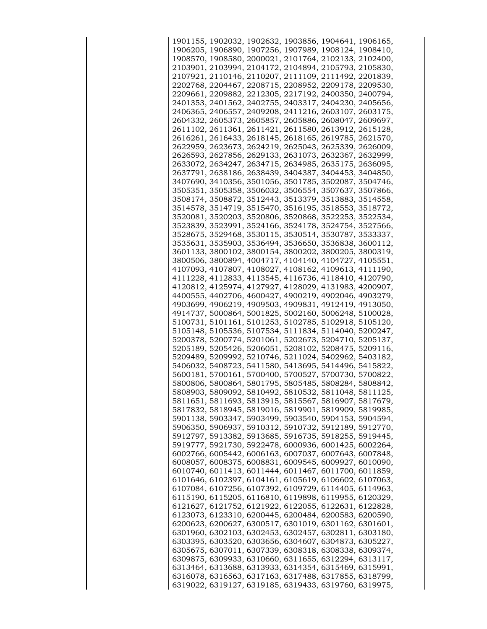|  | 1901155, 1902032, 1902632, 1903856, 1904641, 1906165, |  |  |
|--|-------------------------------------------------------|--|--|
|  | 1906205, 1906890, 1907256, 1907989, 1908124, 1908410, |  |  |
|  | 1908570, 1908580, 2000021, 2101764, 2102133, 2102400, |  |  |
|  | 2103901, 2103994, 2104172, 2104894, 2105793, 2105830, |  |  |
|  | 2107921, 2110146, 2110207, 2111109, 2111492, 2201839, |  |  |
|  | 2202768, 2204467, 2208715, 2208952, 2209178, 2209530, |  |  |
|  | 2209661, 2209882, 2212305, 2217192, 2400350, 2400794, |  |  |
|  | 2401353, 2401562, 2402755, 2403317, 2404230, 2405656, |  |  |
|  |                                                       |  |  |
|  | 2406365, 2406557, 2409208, 2411216, 2603107, 2603175, |  |  |
|  | 2604332, 2605373, 2605857, 2605886, 2608047, 2609697, |  |  |
|  | 2611102, 2611361, 2611421, 2611580, 2613912, 2615128, |  |  |
|  | 2616261, 2616433, 2618145, 2618165, 2619785, 2621570, |  |  |
|  | 2622959, 2623673, 2624219, 2625043, 2625339, 2626009, |  |  |
|  | 2626593, 2627856, 2629133, 2631073, 2632367, 2632999, |  |  |
|  | 2633072, 2634247, 2634715, 2634985, 2635175, 2636095, |  |  |
|  | 2637791, 2638186, 2638439, 3404387, 3404453, 3404850, |  |  |
|  | 3407690, 3410356, 3501056, 3501785, 3502087, 3504746, |  |  |
|  | 3505351, 3505358, 3506032, 3506554, 3507637, 3507866, |  |  |
|  | 3508174, 3508872, 3512443, 3513379, 3513883, 3514558, |  |  |
|  | 3514578, 3514719, 3515470, 3516195, 3518553, 3518772, |  |  |
|  | 3520081, 3520203, 3520806, 3520868, 3522253, 3522534, |  |  |
|  | 3523839, 3523991, 3524166, 3524178, 3524754, 3527566, |  |  |
|  | 3528675, 3529468, 3530115, 3530514, 3530787, 3533337, |  |  |
|  |                                                       |  |  |
|  | 3535631, 3535903, 3536494, 3536650, 3536838, 3600112, |  |  |
|  | 3601133, 3800102, 3800154, 3800202, 3800205, 3800319, |  |  |
|  | 3800506, 3800894, 4004717, 4104140, 4104727, 4105551, |  |  |
|  | 4107093, 4107807, 4108027, 4108162, 4109613, 4111190, |  |  |
|  | 4111228, 4112833, 4113545, 4116736, 4118410, 4120790, |  |  |
|  | 4120812, 4125974, 4127927, 4128029, 4131983, 4200907, |  |  |
|  | 4400555, 4402706, 4600427, 4900219, 4902046, 4903279, |  |  |
|  | 4903699, 4906219, 4909503, 4909831, 4912419, 4913050, |  |  |
|  | 4914737, 5000864, 5001825, 5002160, 5006248, 5100028, |  |  |
|  | 5100731, 5101161, 5101253, 5102785, 5102918, 5105120, |  |  |
|  | 5105148, 5105536, 5107534, 5111834, 5114040, 5200247, |  |  |
|  | 5200378, 5200774, 5201061, 5202673, 5204710, 5205137, |  |  |
|  | 5205189, 5205426, 5206051, 5208102, 5208475, 5209116, |  |  |
|  | 5209489, 5209992, 5210746, 5211024, 5402962, 5403182, |  |  |
|  | 5406032, 5408723, 5411580, 5413695, 5414496, 5415822, |  |  |
|  | 5600181, 5700161, 5700400, 5700527, 5700730, 5700822, |  |  |
|  | 5800806, 5800864, 5801795, 5805485, 5808284, 5808842, |  |  |
|  | 5808903, 5809092, 5810492, 5810532, 5811048, 5811125, |  |  |
|  | 5811651, 5811693, 5813915, 5815567, 5816907, 5817679, |  |  |
|  | 5817832, 5818945, 5819016, 5819901, 5819909, 5819985, |  |  |
|  | 5901138, 5903347, 5903499, 5903540, 5904153, 5904594, |  |  |
|  | 5906350, 5906937, 5910312, 5910732, 5912189, 5912770, |  |  |
|  |                                                       |  |  |
|  | 5912797, 5913382, 5913685, 5916735, 5918255, 5919445, |  |  |
|  | 5919777, 5921730, 5922478, 6000936, 6001425, 6002264, |  |  |
|  | 6002766, 6005442, 6006163, 6007037, 6007643, 6007848, |  |  |
|  | 6008057, 6008375, 6008831, 6009545, 6009927, 6010090, |  |  |
|  | 6010740, 6011413, 6011444, 6011467, 6011700, 6011859, |  |  |
|  | 6101646, 6102397, 6104161, 6105619, 6106602, 6107063, |  |  |
|  | 6107084, 6107256, 6107392, 6109729, 6114405, 6114963, |  |  |
|  | 6115190, 6115205, 6116810, 6119898, 6119955, 6120329, |  |  |
|  | 6121627, 6121752, 6121922, 6122055, 6122631, 6122828, |  |  |
|  | 6123073, 6123310, 6200445, 6200484, 6200583, 6200590, |  |  |
|  | 6200623, 6200627, 6300517, 6301019, 6301162, 6301601, |  |  |
|  | 6301960, 6302103, 6302453, 6302457, 6302811, 6303180, |  |  |
|  | 6303395, 6303520, 6303656, 6304607, 6304873, 6305227, |  |  |
|  | 6305675, 6307011, 6307339, 6308318, 6308338, 6309374, |  |  |
|  | 6309875, 6309933, 6310660, 6311655, 6312294, 6313117, |  |  |
|  | 6313464, 6313688, 6313933, 6314354, 6315469, 6315991, |  |  |
|  | 6316078, 6316563, 6317163, 6317488, 6317855, 6318799, |  |  |
|  | 6319022, 6319127, 6319185, 6319433, 6319760, 6319975, |  |  |
|  |                                                       |  |  |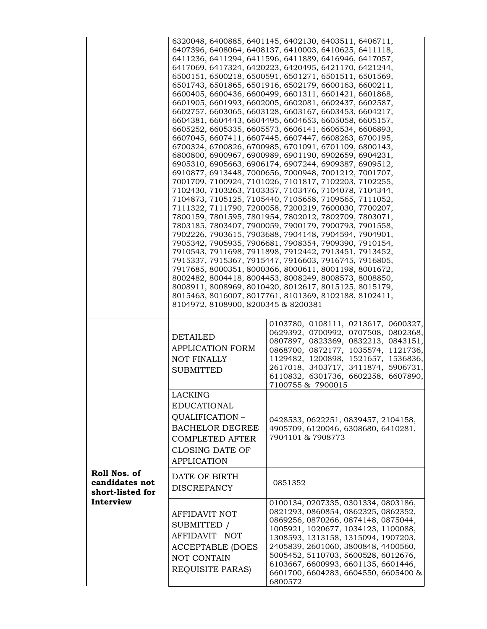|                                                    | 8104972, 8108900, 8200345 & 8200381                                                                                                    | 6320048, 6400885, 6401145, 6402130, 6403511, 6406711,<br>6407396, 6408064, 6408137, 6410003, 6410625, 6411118,<br>6411236, 6411294, 6411596, 6411889, 6416946, 6417057,<br>6417069, 6417324, 6420223, 6420495, 6421170, 6421244,<br>6500151, 6500218, 6500591, 6501271, 6501511, 6501569,<br>6501743, 6501865, 6501916, 6502179, 6600163, 6600211,<br>6600405, 6600436, 6600499, 6601311, 6601421, 6601868,<br>6601905, 6601993, 6602005, 6602081, 6602437, 6602587,<br>6602757, 6603065, 6603128, 6603167, 6603453, 6604217,<br>6604381, 6604443, 6604495, 6604653, 6605058, 6605157,<br>6605252, 6605335, 6605573, 6606141, 6606534, 6606893,<br>6607045, 6607411, 6607445, 6607447, 6608263, 6700195,<br>6700324, 6700826, 6700985, 6701091, 6701109, 6800143,<br>6800800, 6900967, 6900989, 6901190, 6902659, 6904231,<br>6905310, 6905663, 6906174, 6907244, 6909387, 6909512,<br>6910877, 6913448, 7000656, 7000948, 7001212, 7001707,<br>7001709, 7100924, 7101026, 7101817, 7102203, 7102255,<br>7102430, 7103263, 7103357, 7103476, 7104078, 7104344,<br>7104873, 7105125, 7105440, 7105658, 7109565, 7111052,<br>7111322, 7111790, 7200058, 7200219, 7600030, 7700207,<br>7800159, 7801595, 7801954, 7802012, 7802709, 7803071,<br>7803185, 7803407, 7900059, 7900179, 7900793, 7901558,<br>7902226, 7903615, 7903688, 7904148, 7904594, 7904901,<br>7905342, 7905935, 7906681, 7908354, 7909390, 7910154,<br>7910543, 7911698, 7911898, 7912442, 7913451, 7913452,<br>7915337, 7915367, 7915447, 7916603, 7916745, 7916805,<br>7917685, 8000351, 8000366, 8000611, 8001198, 8001672,<br>8002482, 8004418, 8004453, 8008249, 8008573, 8008850,<br>8008911, 8008969, 8010420, 8012617, 8015125, 8015179,<br>8015463, 8016007, 8017761, 8101369, 8102188, 8102411, |
|----------------------------------------------------|----------------------------------------------------------------------------------------------------------------------------------------|----------------------------------------------------------------------------------------------------------------------------------------------------------------------------------------------------------------------------------------------------------------------------------------------------------------------------------------------------------------------------------------------------------------------------------------------------------------------------------------------------------------------------------------------------------------------------------------------------------------------------------------------------------------------------------------------------------------------------------------------------------------------------------------------------------------------------------------------------------------------------------------------------------------------------------------------------------------------------------------------------------------------------------------------------------------------------------------------------------------------------------------------------------------------------------------------------------------------------------------------------------------------------------------------------------------------------------------------------------------------------------------------------------------------------------------------------------------------------------------------------------------------------------------------------------------------------------------------------------------------------------------------------------------------------------------------------------------------------------------------------------------------------|
|                                                    | DETAILED<br><b>APPLICATION FORM</b><br><b>NOT FINALLY</b><br>SUBMITTED                                                                 | 0103780, 0108111, 0213617, 0600327,<br>0629392, 0700992, 0707508, 0802368,<br>0807897, 0823369, 0832213, 0843151,<br>0868700, 0872177, 1035574, 1121736,<br>1129482, 1200898, 1521657, 1536836,<br>2617018, 3403717, 3411874, 5906731,<br>6110832, 6301736, 6602258, 6607890,<br>7100755 & 7900015                                                                                                                                                                                                                                                                                                                                                                                                                                                                                                                                                                                                                                                                                                                                                                                                                                                                                                                                                                                                                                                                                                                                                                                                                                                                                                                                                                                                                                                                         |
|                                                    | LACKING<br><b>EDUCATIONAL</b><br>QUALIFICATION -<br><b>BACHELOR DEGREE</b><br>COMPLETED AFTER<br>CLOSING DATE OF<br><b>APPLICATION</b> | 0428533, 0622251, 0839457, 2104158,<br>4905709, 6120046, 6308680, 6410281,<br>7904101 & 7908773                                                                                                                                                                                                                                                                                                                                                                                                                                                                                                                                                                                                                                                                                                                                                                                                                                                                                                                                                                                                                                                                                                                                                                                                                                                                                                                                                                                                                                                                                                                                                                                                                                                                            |
| Roll Nos. of<br>candidates not<br>short-listed for | DATE OF BIRTH<br><b>DISCREPANCY</b>                                                                                                    | 0851352                                                                                                                                                                                                                                                                                                                                                                                                                                                                                                                                                                                                                                                                                                                                                                                                                                                                                                                                                                                                                                                                                                                                                                                                                                                                                                                                                                                                                                                                                                                                                                                                                                                                                                                                                                    |
| Interview                                          | AFFIDAVIT NOT<br>SUBMITTED /<br>AFFIDAVIT NOT<br><b>ACCEPTABLE (DOES</b><br>NOT CONTAIN<br>REQUISITE PARAS)                            | 0100134, 0207335, 0301334, 0803186,<br>0821293, 0860854, 0862325, 0862352,<br>0869256, 0870266, 0874148, 0875044,<br>1005921, 1020677, 1034123, 1100088,<br>1308593, 1313158, 1315094, 1907203,<br>2405839, 2601060, 3800848, 4400560,<br>5005452, 5110703, 5600528, 6012676,<br>6103667, 6600993, 6601135, 6601446,<br>6601700, 6604283, 6604550, 6605400 &<br>6800572                                                                                                                                                                                                                                                                                                                                                                                                                                                                                                                                                                                                                                                                                                                                                                                                                                                                                                                                                                                                                                                                                                                                                                                                                                                                                                                                                                                                    |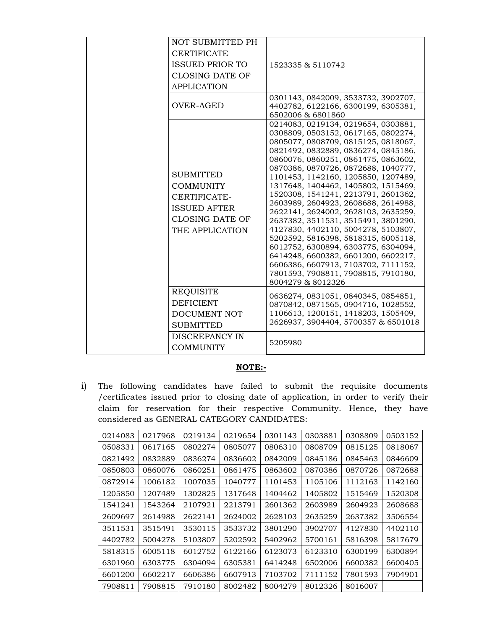| NOT SUBMITTED PH<br><b>CERTIFICATE</b><br>ISSUED PRIOR TO<br><b>CLOSING DATE OF</b><br><b>APPLICATION</b>         | 1523335 & 5110742                                                                                                                                                                                                                                                                                                                                                                                                                                                                                                                                                                                                                                                                                                                               |
|-------------------------------------------------------------------------------------------------------------------|-------------------------------------------------------------------------------------------------------------------------------------------------------------------------------------------------------------------------------------------------------------------------------------------------------------------------------------------------------------------------------------------------------------------------------------------------------------------------------------------------------------------------------------------------------------------------------------------------------------------------------------------------------------------------------------------------------------------------------------------------|
| OVER-AGED                                                                                                         | 0301143, 0842009, 3533732, 3902707,<br>4402782, 6122166, 6300199, 6305381,<br>6502006 & 6801860                                                                                                                                                                                                                                                                                                                                                                                                                                                                                                                                                                                                                                                 |
| <b>SUBMITTED</b><br><b>COMMUNITY</b><br>CERTIFICATE-<br><b>ISSUED AFTER</b><br>CLOSING DATE OF<br>THE APPLICATION | 0214083, 0219134, 0219654, 0303881,<br>0308809, 0503152, 0617165, 0802274,<br>0805077, 0808709, 0815125, 0818067,<br>0821492, 0832889, 0836274, 0845186,<br>0860076, 0860251, 0861475, 0863602,<br>0870386, 0870726, 0872688, 1040777,<br>1101453, 1142160, 1205850, 1207489,<br>1317648, 1404462, 1405802, 1515469,<br>1520308, 1541241, 2213791, 2601362,<br>2603989, 2604923, 2608688, 2614988,<br>2622141, 2624002, 2628103, 2635259,<br>2637382, 3511531, 3515491, 3801290,<br>4127830, 4402110, 5004278, 5103807,<br>5202592, 5816398, 5818315, 6005118,<br>6012752, 6300894, 6303775, 6304094,<br>6414248, 6600382, 6601200, 6602217,<br>6606386, 6607913, 7103702, 7111152,<br>7801593, 7908811, 7908815, 7910180,<br>8004279 & 8012326 |
| <b>REQUISITE</b><br><b>DEFICIENT</b><br>DOCUMENT NOT<br><b>SUBMITTED</b>                                          | 0636274, 0831051, 0840345, 0854851,<br>0870842, 0871565, 0904716, 1028552,<br>1106613, 1200151, 1418203, 1505409,<br>2626937, 3904404, 5700357 & 6501018                                                                                                                                                                                                                                                                                                                                                                                                                                                                                                                                                                                        |
| DISCREPANCY IN<br><b>COMMUNITY</b>                                                                                | 5205980                                                                                                                                                                                                                                                                                                                                                                                                                                                                                                                                                                                                                                                                                                                                         |

## **NOTE:-**

i) The following candidates have failed to submit the requisite documents /certificates issued prior to closing date of application, in order to verify their claim for reservation for their respective Community. Hence, they have considered as GENERAL CATEGORY CANDIDATES:

| 0214083 | 0217968 | 0219134 | 0219654 | 0301143 | 0303881 | 0308809 | 0503152 |
|---------|---------|---------|---------|---------|---------|---------|---------|
| 0508331 | 0617165 | 0802274 | 0805077 | 0806310 | 0808709 | 0815125 | 0818067 |
| 0821492 | 0832889 | 0836274 | 0836602 | 0842009 | 0845186 | 0845463 | 0846609 |
| 0850803 | 0860076 | 0860251 | 0861475 | 0863602 | 0870386 | 0870726 | 0872688 |
| 0872914 | 1006182 | 1007035 | 1040777 | 1101453 | 1105106 | 1112163 | 1142160 |
| 1205850 | 1207489 | 1302825 | 1317648 | 1404462 | 1405802 | 1515469 | 1520308 |
| 1541241 | 1543264 | 2107921 | 2213791 | 2601362 | 2603989 | 2604923 | 2608688 |
| 2609697 | 2614988 | 2622141 | 2624002 | 2628103 | 2635259 | 2637382 | 3506554 |
| 3511531 | 3515491 | 3530115 | 3533732 | 3801290 | 3902707 | 4127830 | 4402110 |
| 4402782 | 5004278 | 5103807 | 5202592 | 5402962 | 5700161 | 5816398 | 5817679 |
| 5818315 | 6005118 | 6012752 | 6122166 | 6123073 | 6123310 | 6300199 | 6300894 |
| 6301960 | 6303775 | 6304094 | 6305381 | 6414248 | 6502006 | 6600382 | 6600405 |
| 6601200 | 6602217 | 6606386 | 6607913 | 7103702 | 7111152 | 7801593 | 7904901 |
| 7908811 | 7908815 | 7910180 | 8002482 | 8004279 | 8012326 | 8016007 |         |